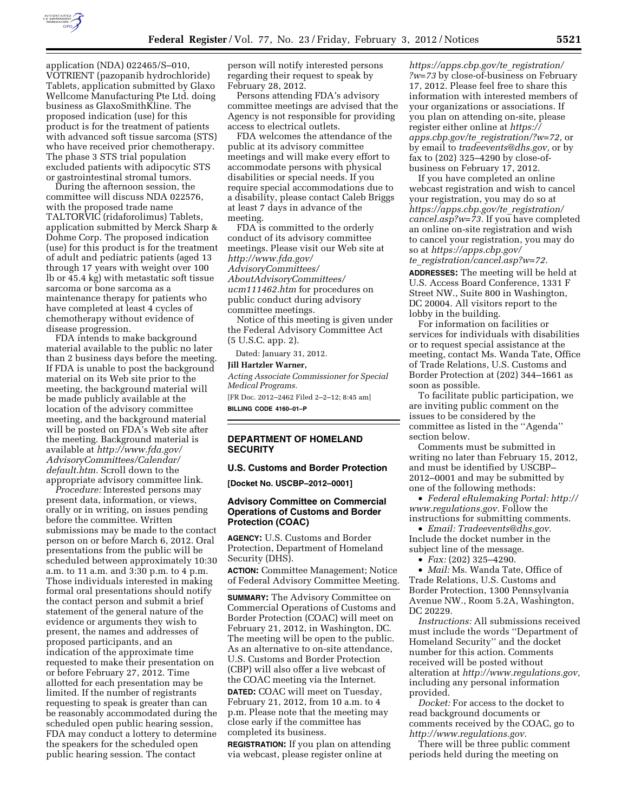

application (NDA) 022465/S–010, VOTRIENT (pazopanib hydrochloride) Tablets, application submitted by Glaxo Wellcome Manufacturing Pte Ltd. doing business as GlaxoSmithKline. The proposed indication (use) for this product is for the treatment of patients with advanced soft tissue sarcoma (STS) who have received prior chemotherapy. The phase 3 STS trial population excluded patients with adipocytic STS or gastrointestinal stromal tumors.

During the afternoon session, the committee will discuss NDA 022576, with the proposed trade name TALTORVIC (ridaforolimus) Tablets, application submitted by Merck Sharp & Dohme Corp. The proposed indication (use) for this product is for the treatment of adult and pediatric patients (aged 13 through 17 years with weight over 100 lb or 45.4 kg) with metastatic soft tissue sarcoma or bone sarcoma as a maintenance therapy for patients who have completed at least 4 cycles of chemotherapy without evidence of disease progression.

FDA intends to make background material available to the public no later than 2 business days before the meeting. If FDA is unable to post the background material on its Web site prior to the meeting, the background material will be made publicly available at the location of the advisory committee meeting, and the background material will be posted on FDA's Web site after the meeting. Background material is available at *[http://www.fda.gov/](http://www.fda.gov/AdvisoryCommittees/Calendar/default.htm)  [AdvisoryCommittees/Calendar/](http://www.fda.gov/AdvisoryCommittees/Calendar/default.htm)  [default.htm.](http://www.fda.gov/AdvisoryCommittees/Calendar/default.htm)* Scroll down to the appropriate advisory committee link.

*Procedure:* Interested persons may present data, information, or views, orally or in writing, on issues pending before the committee. Written submissions may be made to the contact person on or before March 6, 2012. Oral presentations from the public will be scheduled between approximately 10:30 a.m. to 11 a.m. and 3:30 p.m. to 4 p.m. Those individuals interested in making formal oral presentations should notify the contact person and submit a brief statement of the general nature of the evidence or arguments they wish to present, the names and addresses of proposed participants, and an indication of the approximate time requested to make their presentation on or before February 27, 2012. Time allotted for each presentation may be limited. If the number of registrants requesting to speak is greater than can be reasonably accommodated during the scheduled open public hearing session, FDA may conduct a lottery to determine the speakers for the scheduled open public hearing session. The contact

person will notify interested persons regarding their request to speak by February 28, 2012.

Persons attending FDA's advisory committee meetings are advised that the Agency is not responsible for providing access to electrical outlets.

FDA welcomes the attendance of the public at its advisory committee meetings and will make every effort to accommodate persons with physical disabilities or special needs. If you require special accommodations due to a disability, please contact Caleb Briggs at least 7 days in advance of the meeting.

FDA is committed to the orderly conduct of its advisory committee meetings. Please visit our Web site at *[http://www.fda.gov/](http://www.fda.gov/AdvisoryCommittees/AboutAdvisoryCommittees/ucm111462.htm) [AdvisoryCommittees/](http://www.fda.gov/AdvisoryCommittees/AboutAdvisoryCommittees/ucm111462.htm) [AboutAdvisoryCommittees/](http://www.fda.gov/AdvisoryCommittees/AboutAdvisoryCommittees/ucm111462.htm)  [ucm111462.htm](http://www.fda.gov/AdvisoryCommittees/AboutAdvisoryCommittees/ucm111462.htm)* for procedures on public conduct during advisory committee meetings.

Notice of this meeting is given under the Federal Advisory Committee Act (5 U.S.C. app. 2).

Dated: January 31, 2012.

#### **Jill Hartzler Warner,**

*Acting Associate Commissioner for Special Medical Programs.* 

[FR Doc. 2012–2462 Filed 2–2–12; 8:45 am] **BILLING CODE 4160–01–P** 

# **DEPARTMENT OF HOMELAND SECURITY**

## **U.S. Customs and Border Protection**

**[Docket No. USCBP–2012–0001]** 

# **Advisory Committee on Commercial Operations of Customs and Border Protection (COAC)**

**AGENCY:** U.S. Customs and Border Protection, Department of Homeland Security (DHS).

**ACTION:** Committee Management; Notice of Federal Advisory Committee Meeting.

**SUMMARY:** The Advisory Committee on Commercial Operations of Customs and Border Protection (COAC) will meet on February 21, 2012, in Washington, DC. The meeting will be open to the public. As an alternative to on-site attendance, U.S. Customs and Border Protection (CBP) will also offer a live webcast of the COAC meeting via the Internet. **DATED:** COAC will meet on Tuesday, February 21, 2012, from 10 a.m. to 4 p.m. Please note that the meeting may close early if the committee has completed its business.

**REGISTRATION:** If you plan on attending via webcast, please register online at

*[https://apps.cbp.gov/te](https://apps.cbp.gov/te_registration/?w=73)*\_*registration/ [?w=73](https://apps.cbp.gov/te_registration/?w=73)* by close-of-business on February 17, 2012. Please feel free to share this information with interested members of your organizations or associations. If you plan on attending on-site, please register either online at *[https://](https://apps.cbp.gov/te_registration/?w=72)  apps.cbp.gov/te*\_*[registration/?w=72,](https://apps.cbp.gov/te_registration/?w=72)* or by email to *[tradeevents@dhs.gov,](mailto:tradeevents@dhs.gov)* or by fax to (202) 325–4290 by close-ofbusiness on February 17, 2012.

If you have completed an online webcast registration and wish to cancel your registration, you may do so at *[https://apps.cbp.gov/te](https://apps.cbp.gov/te_registration/cancel.asp?w=73)*\_*registration/ [cancel.asp?w=73.](https://apps.cbp.gov/te_registration/cancel.asp?w=73)* If you have completed an online on-site registration and wish to cancel your registration, you may do so at *[https://apps.cbp.gov/](https://apps.cbp.gov/te_registration/cancel.asp?w=72)  te*\_*[registration/cancel.asp?w=72.](https://apps.cbp.gov/te_registration/cancel.asp?w=72)* 

**ADDRESSES:** The meeting will be held at U.S. Access Board Conference, 1331 F Street NW., Suite 800 in Washington, DC 20004. All visitors report to the lobby in the building.

For information on facilities or services for individuals with disabilities or to request special assistance at the meeting, contact Ms. Wanda Tate, Office of Trade Relations, U.S. Customs and Border Protection at (202) 344–1661 as soon as possible.

To facilitate public participation, we are inviting public comment on the issues to be considered by the committee as listed in the ''Agenda'' section below.

Comments must be submitted in writing no later than February 15, 2012, and must be identified by USCBP– 2012–0001 and may be submitted by one of the following methods:

• *Federal eRulemaking Portal: [http://](http://www.regulations.gov)  [www.regulations.gov.](http://www.regulations.gov)* Follow the instructions for submitting comments.

• *Email: [Tradeevents@dhs.gov.](mailto:Tradeevents@dhs.gov)*  Include the docket number in the subject line of the message.

• *Fax:* (202) 325–4290.

• *Mail:* Ms. Wanda Tate, Office of Trade Relations, U.S. Customs and Border Protection, 1300 Pennsylvania Avenue NW., Room 5.2A, Washington, DC 20229.

*Instructions:* All submissions received must include the words ''Department of Homeland Security'' and the docket number for this action. Comments received will be posted without alteration at *[http://www.regulations.gov,](http://www.regulations.gov)*  including any personal information provided.

*Docket:* For access to the docket to read background documents or comments received by the COAC, go to *[http://www.regulations.gov.](http://www.regulations.gov)* 

There will be three public comment periods held during the meeting on